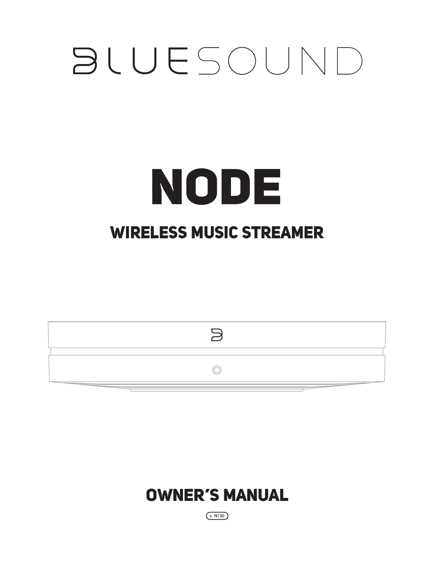# **BLUESOUND**

## NODE WIRELESS MUSIC STREAMER





 $(v. N130)$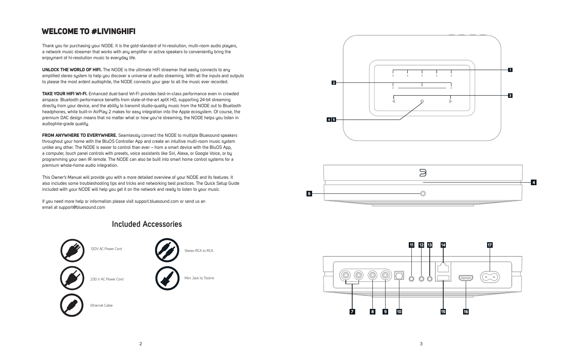#### **Included Accessories**



Thank you for purchasing your NODE. It is the gold-standard of hi-resolution, multi-room audio players, a network music streamer that works with any amplifier or active speakers to conveniently bring the enjoyment of hi-resolution music to everyday life.

**UNLOCK THE WORLD OF HIFI.** The NODE is the ultimate HiFi streamer that easily connects to any amplified stereo system to help you discover a universe of audio streaming. With all the inputs and outputs to please the most ardent audiophile, the NODE connects your gear to all the music ever recorded.

**TAKE YOUR HIFI WI-FI.** Enhanced dual-band Wi-Fi provides best-in-class performance even in crowded airspace. Bluetooth performance benefits from state-of-the-art aptX HD, supporting 24-bit streaming directly from your device, and the ability to transmit studio-quality music from the NODE out to Bluetooth headphones, while built-in AirPlay 2 makes for easy integration into the Apple ecosystem. Of course, the premium DAC design means that no matter what or how you're streaming, the NODE helps you listen in audiophile-grade quality.

This Owner's Manual will provide you with a more detailed overview of your NODE and its features. It also includes some troubleshooting tips and tricks and networking best practices. The Quick Setup Guide included with your NODE will help you get it on the network and ready to listen to your music.

**FROM ANYWHERE TO EVERYWHERE.** Seamlessly connect the NODE to multiple Bluesound speakers throughout your home with the BluOS Controller App and create an intuitive multi-room music system unlike any other. The NODE is easier to control than ever – from a smart device with the BluOS App, a computer, touch panel controls with presets, voice assistants like Siri, Alexa, or Google Voice, or by programming your own IR remote. The NODE can also be built into smart home control systems for a premium whole-home audio integration.

If you need more help or information please visit support.bluesound.com or send us an email at support@bluesound.com

#### WELCOME TO #LIVINGHIFI





230 V AC Power Cord

Ethernet Cable



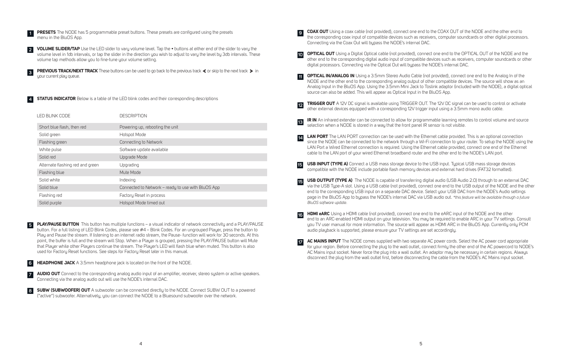**COAX OUT** Using a coax cable (not provided), connect one end to the COAX OUT of the NODE and the other end to the corresponding coax input of compatible devices such as receivers, computer soundcards or other digital processors.

**OPTICAL OUT** Using a Digital Optical cable (not provided), connect one end to the OPTICAL OUT of the NODE and the other end to the corresponding digital audio input of compatible devices such as receivers, computer soundcards or other

NODE and the other end to the corresponding analog output of other compatible devices. The source will show as an Analog Input in the BluOS App. Using the 3.5mm Mini Jack to Toslink adaptor (included with the NODE), a digital optical

**LAN PORT** The LAN PORT connection can be used with the Ethernet cable provided. This is an optional connection since the NODE can be connected to the network through a Wi-Fi connection to your router. To setup the NODE using the LAN Port a Wired Ethernet connection is required. Using the Ethernet cable provided, connect one end of the Ethernet

**TRIGGER OUT** A 12V DC signal is available using TRIGGER OUT. The 12V DC signal can be used to control or activate

**IR IN** An infrared extender can be connected to allow for programmable learning remotes to control volume and source

**USB OUTPUT (TYPE A)** The NODE is capable of transferring digital audio (USB Audio 2.0) through to an external DAC via the USB Type-A slot. Using a USB cable (not provided), connect one end to the USB output of the NODE and the other end to the corresponding USB input on a separate DAC device. Select your USB DAC from the NODE's Audio settings page in the BluOS App to bypass the NODE's internal DAC via USB audio out. *\*this feature will be available through a future* 

**1 PRESETS** The NODE has 5 programmable preset buttons. These presets are configured using the presets menu in the BluOS App.

- Connecting via the Coax Out will bypass the NODE's internal DAC. **9**
- digital processors. Connecting via the Optical Out will bypass the NODE's internal DAC. **10**
- **OPTICAL IN/ANALOG IN** Using a 3.5mm Stereo Audio Cable (not provided), connect one end to the Analog In of the source can also be added. This will appear as Optical Input in the BluOS App. **11**
- other external devices equipped with a corresponding 12V trigger input using a 3.5mm mono audio cable. **12**
- selection when a NODE is stored in a way that the front panel IR sensor is not visible. **13**
- cable to the LAN port of your wired Ethernet broadband router and the other end to the NODE's LAN port. **14**
- **USB INPUT (TYPE A)** Connect a USB mass storage device to the USB input. Typical USB mass storage devices **15** compatible with the NODE include portable flash memory devices and external hard drives (FAT32 formatted).
- *BluOS software update.* **15**
- **HDMI eARC** Using a HDMI cable (not provided), connect one end to the eARC input of the NODE and the other audio playback is supported, please ensure your TV settings are set accordingly. **16**
- **17**

end to an ARC-enabled HDMI output on your television. You may be required to enable ARC in your TV settings. Consult you TV user manual for more information. The source will appear as HDMI ARC in the BluOS App. Currently only PCM

**PREVIOUS TRACK/NEXT TRACK** These buttons can be used to go back to the previous track  $\leq$  or skip to the next track  $\geq$  in your current play queue.

**4 STATUS INDICATOR** Below is a table of the LED blink codes and their corresponding descriptions

**VOLUME SLIDER/TAP** Use the LED slider to vary volume level. Tap the • buttons at either end of the slider to vary the volume level in 1db intervals, or tap the slider in the direction you wish to adjust to vary the level by 3db intervals. These volume tap methods allow you to fine-tune your volume setting. **2**

> **AC MAINS INPUT** The NODE comes supplied with two separate AC power cords. Select the AC power cord appropriate for your region. Before connecting the plug to the wall outlet, connect firmly the other end of the AC powercord to NODE's AC Mains input socket. Never force the plug into a wall outlet. An adaptor may be necessary in certain regions. Always disconnect the plug from the wall outlet first, before disconnecting the cable from the NODE's AC Mains input socket.

| LED BLINK CODE                   | <b>DESCRIPTION</b>                                 |
|----------------------------------|----------------------------------------------------|
| Short blue flash, then red       | Powering up, rebooting the unit                    |
| Solid green                      | Hotspot Mode                                       |
| Flashing green                   | Connecting to Network                              |
| White pulse                      | Software update available                          |
| Solid red                        | Upgrade Mode                                       |
| Alternate flashing red and green | Upgrading                                          |
| Flashing blue                    | Mute Mode                                          |
| Solid white                      | Indexing                                           |
| Solid blue                       | Connected to Network - ready to use with BluOS App |
| Flashing red                     | Factory Reset in process                           |
| Solid purple                     | Hotspot Mode timed out                             |

**PLAY/PAUSE BUTTON** This button has multiple functions – a visual indicator of network connectivity and a PLAY/PAUSE button. For a full listing of LED Blink Codes, please see #4 – Blink Codes. For an ungrouped Player, press the button to Play and Pause the stream. If listening to an internet radio stream, the Pause- function will work for 30 seconds. At this point, the buffer is full and the stream will Stop. When a Player is grouped, pressing the PLAY/PAUSE button will Mute that Player while other Players continue the stream. The Player's LED will flash blue when muted. This button is also used for Factory Reset functions. See steps for Factory Reset later in this manual. **5**

- **HEADPHONE JACK** A 3.5mm headphone jack is located on the front of the NODE. **6**
- **AUDIO OUT** Connect to the corresponding analog audio input of an amplifier, receiver, stereo system or active speakers. Connecting via the analog audio out will use the NODE's internal DAC. **7**
- **SUBW (SUBWOOFER) OUT** A subwoofer can be connected directly to the NODE. Connect SUBW OUT to a powered ("active") subwoofer. Alternatively, you can connect the NODE to a Bluesound subwoofer over the network. **8**

**3**